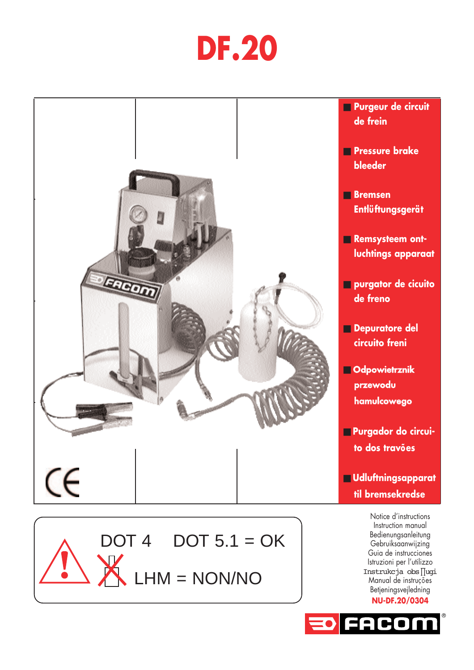# **DF.20**



 $DOT 4$  DOT  $5.1 = OK$ 

LHM = NON/NO

Instruction manual Bedienungsanleitung Gebruiksaanwijzing Guia de instrucciones Istruzioni per l'utilizzo Instrukcja obs∏ugi Manual de instruções Betjeningsvejledning **NU-DF.20/0304**

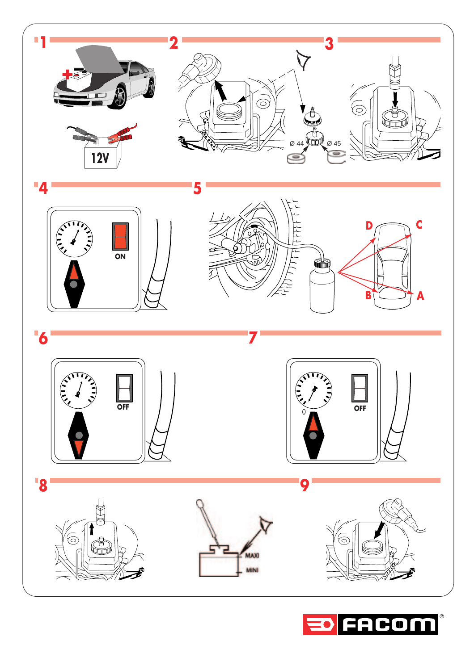

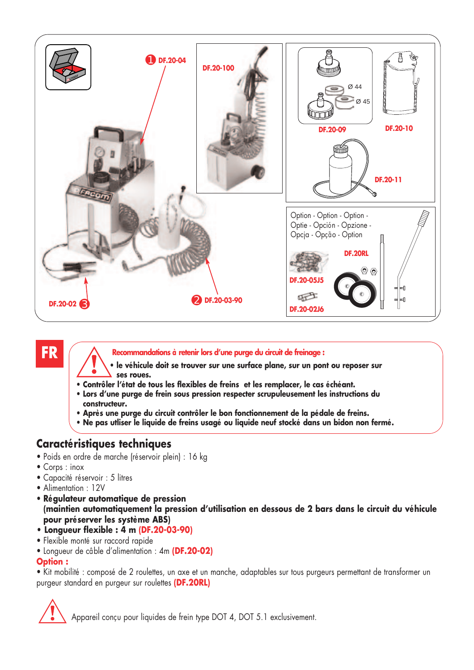

# **FR**

**Recommandations à retenir lors d'une purge du circuit de freinage :**

- **le véhicule doit se trouver sur une surface plane, sur un pont ou reposer sur ses roues.**
- **Contrôler l'état de tous les flexibles de freins et les remplacer, le cas échéant.**
- **Lors d'une purge de frein sous pression respecter scrupuleusement les instructions du constructeur.**
- **Après une purge du circuit contrôler le bon fonctionnement de la pédale de freins.**
- **Ne pas utliser le liquide de freins usagé ou liquide neuf stocké dans un bidon non fermé.**

## **Caractéristiques techniques**

- Poids en ordre de marche (réservoir plein) : 16 kg
- Corps : inox
- Capacité réservoir : 5 litres
- Alimentation : 12V
- **Régulateur automatique de pression (maintien automatiquement la pression d'utilisation en dessous de 2 bars dans le circuit du véhicule pour préserver les système ABS)**
- **Longueur flexible : 4 m (DF.20-03-90)**
- Flexible monté sur raccord rapide
- Longueur de câble d'alimentation : 4m **(DF.20-02)**

#### **Option :**

• Kit mobilité : composé de 2 roulettes, un axe et un manche, adaptables sur tous purgeurs permettant de transformer un purgeur standard en purgeur sur roulettes **(DF.20RL)**

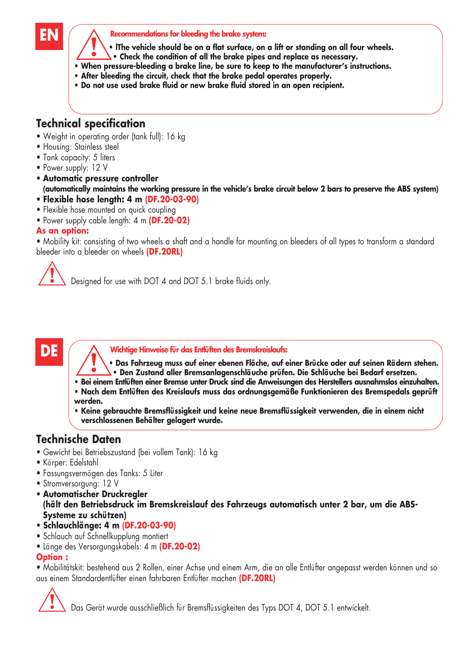#### **EN Recommendations for bleeding the brake system:**

- **lThe vehicle should be on a flat surface, on a lift or standing on all four wheels.**
- **Check the condition of all the brake pipes and replace as necessary.**
- **When pressure-bleeding a brake line, be sure to keep to the manufacturer's instructions.**
- **After bleeding the circuit, check that the brake pedal operates properly.**
- **Do not use used brake fluid or new brake fluid stored in an open recipient.**

# **Technical specification**

- Weight in operating order (tank full): 16 kg
- Housing: Stainless steel
- Tank capacity: 5 liters
- Power supply: 12 V
- **Automatic pressure controller (automatically maintains the working pressure in the vehicle's brake circuit below 2 bars to preserve the ABS system)**
- **Flexible hose length: 4 m (DF.20-03-90)**
- Flexible hose mounted on quick coupling
- Power supply cable length: 4 m **(DF.20-02)**

#### **As an option:**

• Mobility kit: consisting of two wheels a shaft and a handle for mounting on bleeders of all types to transform a standard bleeder into a bleeder on wheels **(DF.20RL)**

Designed for use with DOT 4 and DOT 5.1 brake fluids only.

**DE A** Wichtige Hinweise für das Entlüften des Bremskreislaufs:

- **Das Fahrzeug muss auf einer ebenen Fläche, auf einer Brücke oder auf seinen Rädern stehen. • Den Zustand aller Bremsanlagenschläuche prüfen. Die Schläuche bei Bedarf ersetzen.**
- **Bei einem Entlüften einer Bremse unter Druck sind die Anweisungen des Herstellers ausnahmslos einzuhalten.**
- **Nach dem Entlüften des Kreislaufs muss das ordnungsgemäße Funktionieren des Bremspedals geprüft werden.**
- **Keine gebrauchte Bremsflüssigkeit und keine neue Bremsflüssigkeit verwenden, die in einem nicht verschlossenen Behälter gelagert wurde.**

# **Technische Daten**

- Gewicht bei Betriebszustand (bei vollem Tank): 16 kg
- Körper: Edelstahl
- Fassungsvermögen des Tanks: 5 Liter
- Stromversorgung: 12 V
- **Automatischer Druckregler**
- **(hält den Betriebsdruck im Bremskreislauf des Fahrzeugs automatisch unter 2 bar, um die ABS-Systeme zu schützen)**
- **Schlauchlänge: 4 m (DF.20-03-90)**
- Schlauch auf Schnellkupplung montiert
- Länge des Versorgungskabels: 4 m **(DF.20-02)**

#### **Option :**

• Mobilitätskit: bestehend aus 2 Rollen, einer Achse und einem Arm, die an alle Entlüfter angepasst werden können und so aus einem Standardentlüfter einen fahrbaren Entlüfter machen **(DF.20RL)**

Das Gerät wurde ausschließlich für Bremsflüssigkeiten des Typs DOT 4, DOT 5.1 entwickelt.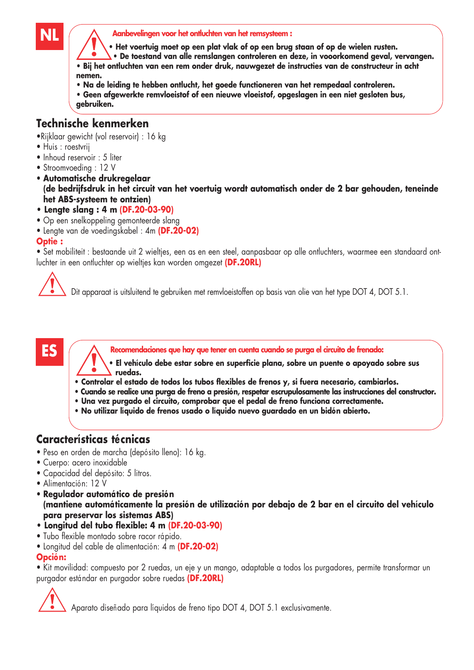

**Aanbevelingen voor het ontluchten van het remsysteem :**

**• Het voertuig moet op een plat vlak of op een brug staan of op de wielen rusten.**

**• De toestand van alle remslangen controleren en deze, in vooorkomend geval, vervangen. • Bij het ontluchten van een rem onder druk, nauwgezet de instructies van de constructeur in acht nemen.**

- **Na de leiding te hebben ontlucht, het goede functioneren van het rempedaal controleren.**
- **Geen afgewerkte remvloeistof of een nieuwe vloeistof, opgeslagen in een niet gesloten bus, gebruiken.**

# **Technische kenmerken**

•Rijklaar gewicht (vol reservoir) : 16 kg

- Huis : roestvrij
- Inhoud reservoir : 5 liter
- Stroomvoeding : 12 V
- **Automatische drukregelaar (de bedrijfsdruk in het circuit van het voertuig wordt automatisch onder de 2 bar gehouden, teneinde het ABS-systeem te ontzien)**
- **Lengte slang : 4 m (DF.20-03-90)**
- Op een snelkoppeling gemonteerde slang
- Lengte van de voedingskabel : 4m **(DF.20-02)**

#### **Optie :**

• Set mobiliteit : bestaande uit 2 wieltjes, een as en een steel, aanpasbaar op alle ontluchters, waarmee een standaard ontluchter in een ontluchter op wieltjes kan worden omgezet **(DF.20RL)**



Dit apparaat is uitsluitend te gebruiken met remvloeistoffen op basis van olie van het type DOT 4, DOT 5.1.

# **ES**

**Recomendaciones que hay que tener en cuenta cuando se purga el circuito de frenado:**

- **El vehículo debe estar sobre en superficie plana, sobre un puente o apoyado sobre sus ruedas.**
- **Controlar el estado de todos los tubos flexibles de frenos y, si fuera necesario, cambiarlos.**
- **Cuando se realice una purga de freno a presión, respetar escrupulosamente las instrucciones del constructor.**
- **Una vez purgado el circuito, comprobar que el pedal de freno funciona correctamente.**
- **No utilizar líquido de frenos usado o líquido nuevo guardado en un bidón abierto.**

# **Características técnicas**

- Peso en orden de marcha (depósito lleno): 16 kg.
- Cuerpo: acero inoxidable
- Capacidad del depósito: 5 litros.
- Alimentación: 12 V
- **Regulador automático de presión (mantiene automáticamente la presión de utilización por debajo de 2 bar en el circuito del vehículo para preservar los sistemas ABS)**
- **Longitud del tubo flexible: 4 m (DF.20-03-90)**
- Tubo flexible montado sobre racor rápido.
- Longitud del cable de alimentación: 4 m **(DF.20-02)**

#### **Opción:**

• Kit movilidad: compuesto por 2 ruedas, un eje y un mango, adaptable a todos los purgadores, permite transformar un purgador estándar en purgador sobre ruedas **(DF.20RL)**

Aparato diseñado para líquidos de freno tipo DOT 4, DOT 5.1 exclusivamente.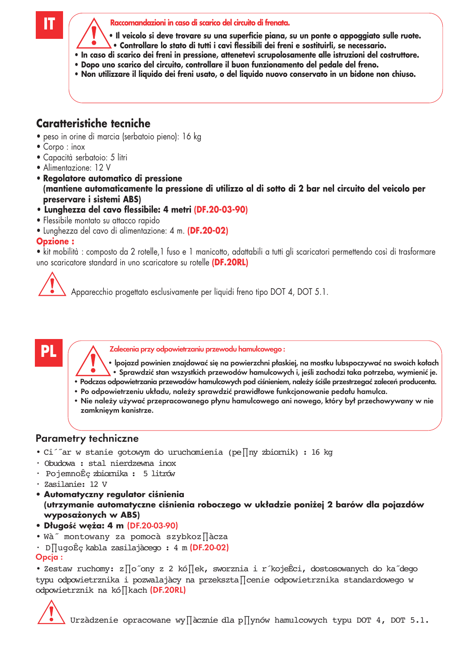**Raccomandazioni in caso di scarico del circuito di frenata.**

- **Il veicolo si deve trovare su una superficie piana, su un ponte o appoggiato sulle ruote.**
- **Controllare lo stato di tutti i cavi flessibili dei freni e sostituirli, se necessario.**
- **In caso di scarico dei freni in pressione, attenetevi scrupolosamente alle istruzioni del costruttore.**
- **Dopo uno scarico del circuito, controllare il buon funzionamento del pedale del freno.**
- **Non utilizzare il liquido dei freni usato, o del liquido nuovo conservato in un bidone non chiuso.**

# **Caratteristiche tecniche**

- peso in orine di marcia (serbatoio pieno): 16 kg
- Corpo : inox
- Capacità serbatoio: 5 litri
- Alimentazione: 12 V
- **Regolatore automatico di pressione (mantiene automaticamente la pressione di utilizzo al di sotto di 2 bar nel circuito del veicolo per preservare i sistemi ABS)**
- **Lunghezza del cavo flessibile: 4 metri (DF.20-03-90)**
- Flessibile montato su attacco rapido
- Lunghezza del cavo di alimentazione: 4 m. **(DF.20-02)**

#### **Opzione :**

• kit mobilità : composto da 2 rotelle,1 fuso e 1 manicotto, adattabili a tutti gli scaricatori permettendo così di trasformare uno scaricatore standard in uno scaricatore su rotelle **(DF.20RL)**



Apparecchio progettato esclusivamente per liquidi freno tipo DOT 4, DOT 5.1.

# **PL**

Zalecenia przy odpowietrzaniu przewodu hamulcowego :

- lpojazd powinien znajdować się na powierzchni płaskiej, na mostku lubspoczywać na swoich kołach • Sprawdzić stan wszystkich przewodów hamulcowych i, jeśli zachodzi taka potrzeba, wymienić je.
- Podczas odpowietrzania przewodów hamulcowych pod ciśnieniem, należy ściśle przestrzegać zaleceń producenta.
- Po odpowietrzeniu układu, należy sprawdzić prawidłowe funkcjonowanie pedału hamulca.
- Nie należy używać przepracowanego płynu hamulcowego ani nowego, który był przechowywany w nie zamknięym kanistrze.

## Parametry techniczne

- Ci´˝ar w stanie gotowym do uruchomienia (pe∏ny zbiornik) : 16 kg
- Obudowa : stal nierdzewna inox
- PojemnoÊç zbiornika : 5 litrów
- Zasilanie: 12 V
- **Automatyczny regulator ciśnienia (utrzymanie automatyczne ciśnienia roboczego w układzie poniżej 2 barów dla pojazdów wyposażonych w ABS)**
- **Długość węża: 4 m** (DF.20-03-90)
- Wà˝ montowany za pomocà szybkoz∏àcza
- D∏ugoÊç kabla zasilajàcego : 4 m (DF.20-02)

#### Opcja :

• Zestaw ruchomy: z∏o˝ony z 2 kó∏ek, sworznia i r´kojeÊci, dostosowanych do ka˝dego typu odpowietrznika i pozwalajàcy na przekszta∏cenie odpowietrznika standardowego w odpowietrznik na kó∏kach (DF.20RL)



Urzàdzenie opracowane wy∏àcznie dla p∏ynów hamulcowych typu DOT 4, DOT 5.1.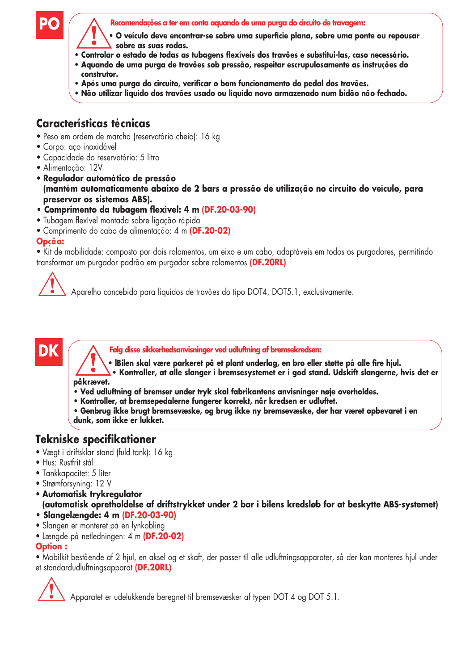

**Recomendações a ter em conta aquando de uma purga do circuito de travagem:**

- **O veículo deve encontrar-se sobre uma superfície plana, sobre uma ponte ou repousar sobre as suas rodas.**
- **Controlar o estado de todas as tubagens flexíveis dos travões e substitui-las, caso necessário.**
- **Aquando de uma purga de travões sob pressão, respeitar escrupulosamente as instruções do construtor.**
- **Após uma purga do circuito, verificar o bom funcionamento do pedal dos travões.**
- **Não utilizar líquido dos travões usado ou líquido novo armazenado num bidão não fechado.**

# **Características técnicas**

- Peso em ordem de marcha (reservatório cheio): 16 kg
- Corpo: aço inoxidável
- Capacidade do reservatório: 5 litro
- Alimentação: 12V
- **Regulador automático de pressão (mantém automaticamente abaixo de 2 bars a pressão de utilização no circuito do veículo, para preservar os sistemas ABS).**
- **Comprimento da tubagem flexível: 4 m (DF.20-03-90)**
- Tubagem flexível montada sobre ligação rápida
- Comprimento do cabo de alimentação: 4 m **(DF.20-02)**

#### **Opção:**

• Kit de mobilidade: composto por dois rolamentos, um eixo e um cabo, adaptáveis em todos os purgadores, permitindo transformar um purgador padrão em purgador sobre rolamentos **(DF.20RL)**



# **DK**

**Følg disse sikkerhedsanvisninger ved udluftning af bremsekredsen:**

**• lBilen skal være parkeret på et plant underlag, en bro eller støtte på alle fire hjul.**

**• Kontroller, at alle slanger i bremsesystemet er i god stand. Udskift slangerne, hvis det er påkrævet.**

- **Ved udluftning af bremser under tryk skal fabrikantens anvisninger nøje overholdes.**
- **Kontroller, at bremsepedalerne fungerer korrekt, når kredsen er udluftet.**
- **Genbrug ikke brugt bremsevæske, og brug ikke ny bremsevæske, der har været opbevaret i en dunk, som ikke er lukket.**

# **Tekniske specifikationer**

- Vægt i driftsklar stand (fuld tank): 16 kg
- Hus: Rustfrit stål
- Tankkapacitet: 5 liter
- Strømforsyning: 12 V
- **Automatisk trykregulator (automatisk opretholdelse af driftstrykket under 2 bar i bilens kredsløb for at beskytte ABS-systemet)**
- **Slangelængde: 4 m (DF.20-03-90)**
- Slangen er monteret på en lynkobling
- Længde på netledningen: 4 m **(DF.20-02)**

#### **Option :**

• Mobilkit bestående af 2 hjul, en aksel og et skaft, der passer til alle udluftningsapparater, så der kan monteres hjul under et standardudluftningsapparat **(DF.20RL)**



Apparatet er udelukkende beregnet til bremsevæsker af typen DOT 4 og DOT 5.1.